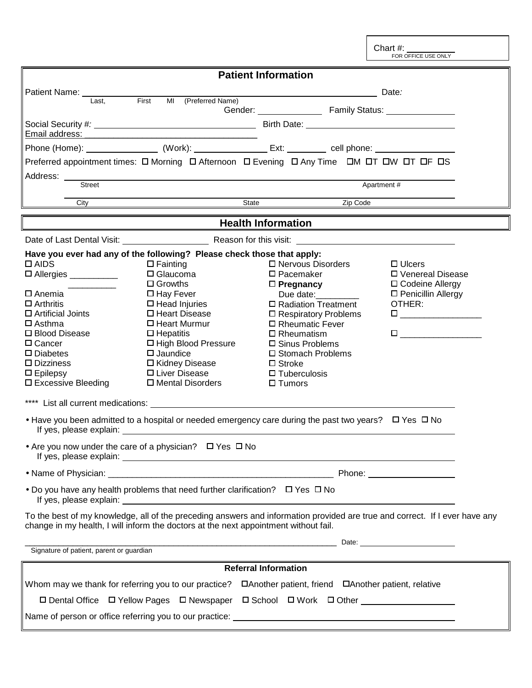Chart #:<br>FOR OFFICE USE ONLY

| <b>Patient Information</b>                                                                                                                                                                                                           |                                                                                                                                     |                                                                                                                |                                                                                                                                                                                   |  |
|--------------------------------------------------------------------------------------------------------------------------------------------------------------------------------------------------------------------------------------|-------------------------------------------------------------------------------------------------------------------------------------|----------------------------------------------------------------------------------------------------------------|-----------------------------------------------------------------------------------------------------------------------------------------------------------------------------------|--|
| Patient Name: ___________                                                                                                                                                                                                            | First<br>MI (Preferred Name)                                                                                                        |                                                                                                                | Date:                                                                                                                                                                             |  |
| Last,                                                                                                                                                                                                                                |                                                                                                                                     |                                                                                                                |                                                                                                                                                                                   |  |
|                                                                                                                                                                                                                                      |                                                                                                                                     |                                                                                                                |                                                                                                                                                                                   |  |
|                                                                                                                                                                                                                                      |                                                                                                                                     | Phone (Home): ___________________ (Work): _____________________ Ext: ___________ cell phone: _________________ |                                                                                                                                                                                   |  |
| Preferred appointment times: O Morning O Afternoon O Evening O Any Time OM OT OW OT OF OS                                                                                                                                            |                                                                                                                                     |                                                                                                                |                                                                                                                                                                                   |  |
| Address: _____<br><b>Street</b>                                                                                                                                                                                                      | <u> 1989 - Johann Stoff, deutscher Stoff, der Stoff, der Stoff, der Stoff, der Stoff, der Stoff, der Stoff, der S</u><br>Apartment# |                                                                                                                |                                                                                                                                                                                   |  |
| City                                                                                                                                                                                                                                 | State                                                                                                                               | Zip Code                                                                                                       |                                                                                                                                                                                   |  |
| <b>Health Information</b>                                                                                                                                                                                                            |                                                                                                                                     |                                                                                                                |                                                                                                                                                                                   |  |
|                                                                                                                                                                                                                                      |                                                                                                                                     |                                                                                                                |                                                                                                                                                                                   |  |
| Have you ever had any of the following? Please check those that apply:<br>$\Box$ AIDS                                                                                                                                                | $\square$ Fainting                                                                                                                  | □ Nervous Disorders                                                                                            | $\Box$ Ulcers                                                                                                                                                                     |  |
| □ Allergies __________                                                                                                                                                                                                               | $\Box$ Glaucoma                                                                                                                     | $\square$ Pacemaker                                                                                            | □ Venereal Disease                                                                                                                                                                |  |
|                                                                                                                                                                                                                                      | $\Box$ Growths                                                                                                                      | $\Box$ Pregnancy                                                                                               | □ Codeine Allergy                                                                                                                                                                 |  |
| □ Anemia<br>$\Box$ Arthritis                                                                                                                                                                                                         | $\Box$ Hay Fever<br>$\Box$ Head Injuries                                                                                            | Due date:<br>□ Radiation Treatment                                                                             | □ Penicillin Allergy<br>OTHER:                                                                                                                                                    |  |
| $\Box$ Artificial Joints                                                                                                                                                                                                             | □ Heart Disease                                                                                                                     | $\square$ Respiratory Problems                                                                                 | $\begin{tabular}{ c c c c } \hline \quad \quad & \quad \quad & \quad \quad & \quad \quad \\ \hline \quad \quad & \quad \quad & \quad \quad & \quad \quad \\ \hline \end{tabular}$ |  |
| $\square$ Asthma                                                                                                                                                                                                                     | □ Heart Murmur                                                                                                                      | □ Rheumatic Fever                                                                                              |                                                                                                                                                                                   |  |
| □ Blood Disease                                                                                                                                                                                                                      | $\Box$ Hepatitis                                                                                                                    | $\Box$ Rheumatism                                                                                              |                                                                                                                                                                                   |  |
| $\Box$ Cancer                                                                                                                                                                                                                        | □ High Blood Pressure                                                                                                               | □ Sinus Problems                                                                                               |                                                                                                                                                                                   |  |
| $\square$ Diabetes                                                                                                                                                                                                                   | $\square$ Jaundice                                                                                                                  | □ Stomach Problems                                                                                             |                                                                                                                                                                                   |  |
| $\square$ Dizziness                                                                                                                                                                                                                  | □ Kidney Disease                                                                                                                    | $\Box$ Stroke                                                                                                  |                                                                                                                                                                                   |  |
| $\square$ Epilepsy                                                                                                                                                                                                                   | □ Liver Disease                                                                                                                     | $\Box$ Tuberculosis                                                                                            |                                                                                                                                                                                   |  |
| □ Excessive Bleeding                                                                                                                                                                                                                 | □ Mental Disorders                                                                                                                  | $\Box$ Tumors                                                                                                  |                                                                                                                                                                                   |  |
|                                                                                                                                                                                                                                      |                                                                                                                                     |                                                                                                                |                                                                                                                                                                                   |  |
| • Have you been admitted to a hospital or needed emergency care during the past two years? $\Box$ Yes $\Box$ No                                                                                                                      |                                                                                                                                     |                                                                                                                |                                                                                                                                                                                   |  |
| • Are you now under the care of a physician? $\Box$ Yes $\Box$ No                                                                                                                                                                    |                                                                                                                                     |                                                                                                                |                                                                                                                                                                                   |  |
|                                                                                                                                                                                                                                      |                                                                                                                                     |                                                                                                                |                                                                                                                                                                                   |  |
| • Do you have any health problems that need further clarification? $\Box$ Yes $\Box$ No                                                                                                                                              |                                                                                                                                     |                                                                                                                |                                                                                                                                                                                   |  |
| To the best of my knowledge, all of the preceding answers and information provided are true and correct. If I ever have any<br>change in my health, I will inform the doctors at the next appointment without fail.                  |                                                                                                                                     |                                                                                                                |                                                                                                                                                                                   |  |
| <u>Date: Executive Contract Contract Contract Contract Contract Contract Contract Contract Contract Contract Contract Contract Contract Contract Contract Contract Contract Contract Contract Contract Contract Contract Contrac</u> |                                                                                                                                     |                                                                                                                |                                                                                                                                                                                   |  |
| Signature of patient, parent or guardian                                                                                                                                                                                             |                                                                                                                                     |                                                                                                                |                                                                                                                                                                                   |  |
| <b>Referral Information</b>                                                                                                                                                                                                          |                                                                                                                                     |                                                                                                                |                                                                                                                                                                                   |  |
| Whom may we thank for referring you to our practice?<br>□Another patient, friend □Another patient, relative                                                                                                                          |                                                                                                                                     |                                                                                                                |                                                                                                                                                                                   |  |
| □ Dental Office □ Yellow Pages □ Newspaper □ School □ Work □ Other                                                                                                                                                                   |                                                                                                                                     |                                                                                                                |                                                                                                                                                                                   |  |
|                                                                                                                                                                                                                                      |                                                                                                                                     |                                                                                                                |                                                                                                                                                                                   |  |